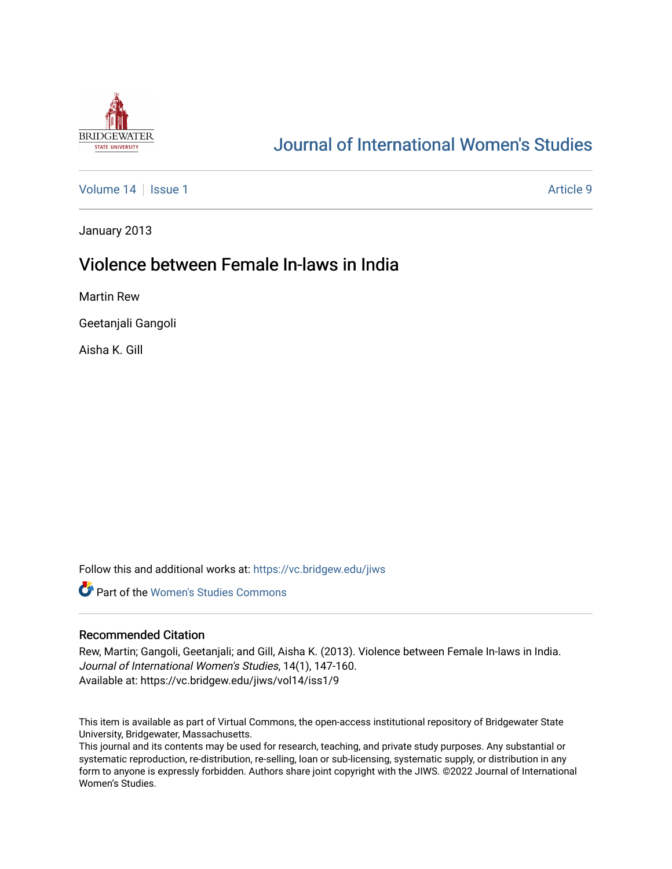

# [Journal of International Women's Studies](https://vc.bridgew.edu/jiws)

[Volume 14](https://vc.bridgew.edu/jiws/vol14) Suitsue 1 Article 9

January 2013

## Violence between Female In-laws in India

Martin Rew

Geetanjali Gangoli

Aisha K. Gill

Follow this and additional works at: [https://vc.bridgew.edu/jiws](https://vc.bridgew.edu/jiws?utm_source=vc.bridgew.edu%2Fjiws%2Fvol14%2Fiss1%2F9&utm_medium=PDF&utm_campaign=PDFCoverPages)

**C** Part of the Women's Studies Commons

#### Recommended Citation

Rew, Martin; Gangoli, Geetanjali; and Gill, Aisha K. (2013). Violence between Female In-laws in India. Journal of International Women's Studies, 14(1), 147-160. Available at: https://vc.bridgew.edu/jiws/vol14/iss1/9

This item is available as part of Virtual Commons, the open-access institutional repository of Bridgewater State University, Bridgewater, Massachusetts.

This journal and its contents may be used for research, teaching, and private study purposes. Any substantial or systematic reproduction, re-distribution, re-selling, loan or sub-licensing, systematic supply, or distribution in any form to anyone is expressly forbidden. Authors share joint copyright with the JIWS. ©2022 Journal of International Women's Studies.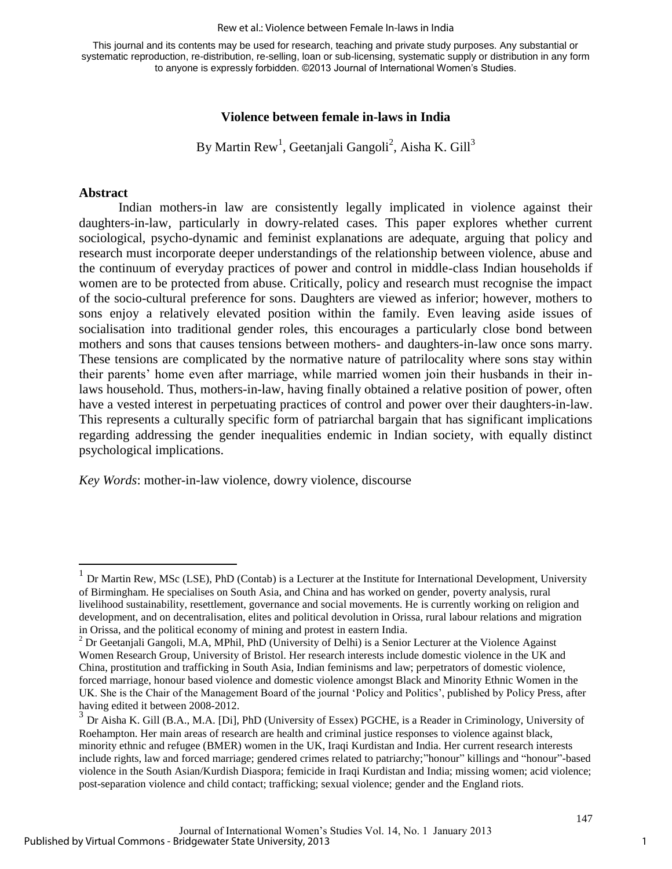#### Rew et al.: Violence between Female In-laws in India

This journal and its contents may be used for research, teaching and private study purposes. Any substantial or systematic reproduction, re-distribution, re-selling, loan or sub-licensing, systematic supply or distribution in any form to anyone is expressly forbidden. ©2013 Journal of International Women's Studies.

## **Violence between female in-laws in India**

By Martin Rew<sup>1</sup>, Geetanjali Gangoli<sup>2</sup>, Aisha K. Gill<sup>3</sup>

## **Abstract**

 $\overline{a}$ 

Indian mothers-in law are consistently legally implicated in violence against their daughters-in-law, particularly in dowry-related cases. This paper explores whether current sociological, psycho-dynamic and feminist explanations are adequate, arguing that policy and research must incorporate deeper understandings of the relationship between violence, abuse and the continuum of everyday practices of power and control in middle-class Indian households if women are to be protected from abuse. Critically, policy and research must recognise the impact of the socio-cultural preference for sons. Daughters are viewed as inferior; however, mothers to sons enjoy a relatively elevated position within the family. Even leaving aside issues of socialisation into traditional gender roles, this encourages a particularly close bond between mothers and sons that causes tensions between mothers- and daughters-in-law once sons marry. These tensions are complicated by the normative nature of patrilocality where sons stay within their parents' home even after marriage, while married women join their husbands in their inlaws household. Thus, mothers-in-law, having finally obtained a relative position of power, often have a vested interest in perpetuating practices of control and power over their daughters-in-law. This represents a culturally specific form of patriarchal bargain that has significant implications regarding addressing the gender inequalities endemic in Indian society, with equally distinct psychological implications.

*Key Words*: mother-in-law violence, dowry violence, discourse

<sup>1</sup> Dr Martin Rew, MSc (LSE), PhD (Contab) is a Lecturer at the Institute for International Development, University of Birmingham. He specialises on South Asia, and China and has worked on gender, poverty analysis, rural livelihood sustainability, resettlement, governance and social movements. He is currently working on religion and development, and on decentralisation, elites and political devolution in Orissa, rural labour relations and migration in Orissa, and the political economy of mining and protest in eastern India.

<sup>&</sup>lt;sup>2</sup> Dr Geetanjali Gangoli, M.A, MPhil, PhD (University of Delhi) is a Senior Lecturer at the Violence Against Women Research Group, University of Bristol. Her research interests include domestic violence in the UK and China, prostitution and trafficking in South Asia, Indian feminisms and law; perpetrators of domestic violence, forced marriage, honour based violence and domestic violence amongst Black and Minority Ethnic Women in the UK. She is the Chair of the Management Board of the journal 'Policy and Politics', published by Policy Press, after having edited it between 2008-2012.

<sup>&</sup>lt;sup>3</sup> Dr Aisha K. Gill (B.A., M.A. [Di], PhD (University of Essex) PGCHE, is a Reader in Criminology, University of Roehampton. Her main areas of research are health and criminal justice responses to violence against black, minority ethnic and refugee (BMER) women in the UK, Iraqi Kurdistan and India. Her current research interests include rights, law and forced marriage; gendered crimes related to patriarchy;"honour" killings and "honour"-based violence in the South Asian/Kurdish Diaspora; femicide in Iraqi Kurdistan and India; missing women; acid violence; post-separation violence and child contact; trafficking; sexual violence; gender and the England riots.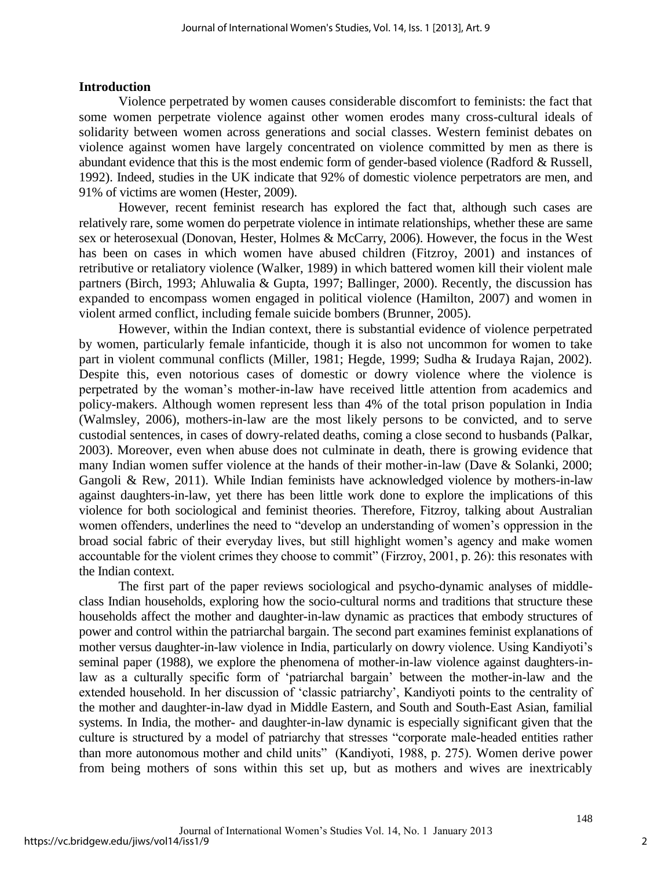#### **Introduction**

Violence perpetrated by women causes considerable discomfort to feminists: the fact that some women perpetrate violence against other women erodes many cross-cultural ideals of solidarity between women across generations and social classes. Western feminist debates on violence against women have largely concentrated on violence committed by men as there is abundant evidence that this is the most endemic form of gender-based violence (Radford & Russell, 1992). Indeed, studies in the UK indicate that 92% of domestic violence perpetrators are men, and 91% of victims are women (Hester, 2009).

However, recent feminist research has explored the fact that, although such cases are relatively rare, some women do perpetrate violence in intimate relationships, whether these are same sex or heterosexual (Donovan, Hester, Holmes & McCarry, 2006). However, the focus in the West has been on cases in which women have abused children (Fitzroy, 2001) and instances of retributive or retaliatory violence (Walker, 1989) in which battered women kill their violent male partners (Birch, 1993; Ahluwalia & Gupta, 1997; Ballinger, 2000). Recently, the discussion has expanded to encompass women engaged in political violence (Hamilton, 2007) and women in violent armed conflict, including female suicide bombers (Brunner, 2005).

However, within the Indian context, there is substantial evidence of violence perpetrated by women, particularly female infanticide, though it is also not uncommon for women to take part in violent communal conflicts (Miller, 1981; Hegde, 1999; Sudha & Irudaya Rajan, 2002). Despite this, even notorious cases of domestic or dowry violence where the violence is perpetrated by the woman's mother-in-law have received little attention from academics and policy-makers. Although women represent less than 4% of the total prison population in India (Walmsley, 2006), mothers-in-law are the most likely persons to be convicted, and to serve custodial sentences, in cases of dowry-related deaths, coming a close second to husbands (Palkar, 2003). Moreover, even when abuse does not culminate in death, there is growing evidence that many Indian women suffer violence at the hands of their mother-in-law (Dave & Solanki, 2000; Gangoli & Rew, 2011). While Indian feminists have acknowledged violence by mothers-in-law against daughters-in-law, yet there has been little work done to explore the implications of this violence for both sociological and feminist theories. Therefore, Fitzroy, talking about Australian women offenders, underlines the need to "develop an understanding of women's oppression in the broad social fabric of their everyday lives, but still highlight women's agency and make women accountable for the violent crimes they choose to commit" (Firzroy, 2001, p. 26): this resonates with the Indian context.

The first part of the paper reviews sociological and psycho-dynamic analyses of middleclass Indian households, exploring how the socio-cultural norms and traditions that structure these households affect the mother and daughter-in-law dynamic as practices that embody structures of power and control within the patriarchal bargain. The second part examines feminist explanations of mother versus daughter-in-law violence in India, particularly on dowry violence. Using Kandiyoti's seminal paper (1988), we explore the phenomena of mother-in-law violence against daughters-inlaw as a culturally specific form of 'patriarchal bargain' between the mother-in-law and the extended household. In her discussion of 'classic patriarchy', Kandiyoti points to the centrality of the mother and daughter-in-law dyad in Middle Eastern, and South and South-East Asian, familial systems. In India, the mother- and daughter-in-law dynamic is especially significant given that the culture is structured by a model of patriarchy that stresses "corporate male-headed entities rather than more autonomous mother and child units" (Kandiyoti, 1988, p. 275). Women derive power from being mothers of sons within this set up, but as mothers and wives are inextricably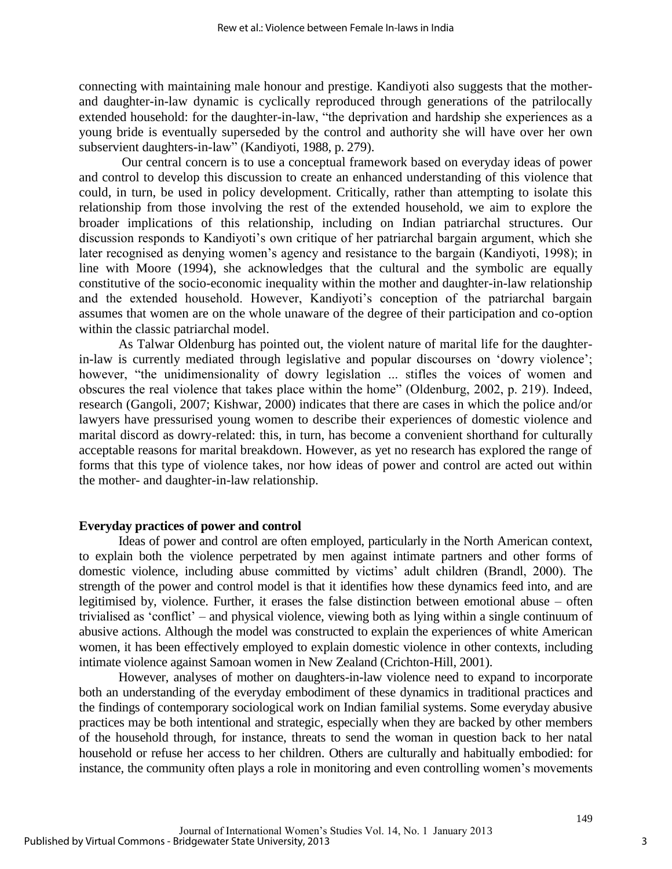connecting with maintaining male honour and prestige. Kandiyoti also suggests that the motherand daughter-in-law dynamic is cyclically reproduced through generations of the patrilocally extended household: for the daughter-in-law, "the deprivation and hardship she experiences as a young bride is eventually superseded by the control and authority she will have over her own subservient daughters-in-law" (Kandiyoti, 1988, p. 279).

Our central concern is to use a conceptual framework based on everyday ideas of power and control to develop this discussion to create an enhanced understanding of this violence that could, in turn, be used in policy development. Critically, rather than attempting to isolate this relationship from those involving the rest of the extended household, we aim to explore the broader implications of this relationship, including on Indian patriarchal structures. Our discussion responds to Kandiyoti's own critique of her patriarchal bargain argument, which she later recognised as denying women's agency and resistance to the bargain (Kandiyoti, 1998); in line with Moore (1994), she acknowledges that the cultural and the symbolic are equally constitutive of the socio-economic inequality within the mother and daughter-in-law relationship and the extended household. However, Kandiyoti's conception of the patriarchal bargain assumes that women are on the whole unaware of the degree of their participation and co-option within the classic patriarchal model.

 As Talwar Oldenburg has pointed out, the violent nature of marital life for the daughterin-law is currently mediated through legislative and popular discourses on 'dowry violence'; however, "the unidimensionality of dowry legislation ... stifles the voices of women and obscures the real violence that takes place within the home" (Oldenburg, 2002, p. 219). Indeed, research (Gangoli, 2007; Kishwar, 2000) indicates that there are cases in which the police and/or lawyers have pressurised young women to describe their experiences of domestic violence and marital discord as dowry-related: this, in turn, has become a convenient shorthand for culturally acceptable reasons for marital breakdown. However, as yet no research has explored the range of forms that this type of violence takes, nor how ideas of power and control are acted out within the mother- and daughter-in-law relationship.

#### **Everyday practices of power and control**

Ideas of power and control are often employed, particularly in the North American context, to explain both the violence perpetrated by men against intimate partners and other forms of domestic violence, including abuse committed by victims' adult children (Brandl, 2000). The strength of the power and control model is that it identifies how these dynamics feed into, and are legitimised by, violence. Further, it erases the false distinction between emotional abuse – often trivialised as 'conflict' – and physical violence, viewing both as lying within a single continuum of abusive actions. Although the model was constructed to explain the experiences of white American women, it has been effectively employed to explain domestic violence in other contexts, including intimate violence against Samoan women in New Zealand (Crichton-Hill, 2001).

However, analyses of mother on daughters-in-law violence need to expand to incorporate both an understanding of the everyday embodiment of these dynamics in traditional practices and the findings of contemporary sociological work on Indian familial systems. Some everyday abusive practices may be both intentional and strategic, especially when they are backed by other members of the household through, for instance, threats to send the woman in question back to her natal household or refuse her access to her children. Others are culturally and habitually embodied: for instance, the community often plays a role in monitoring and even controlling women's movements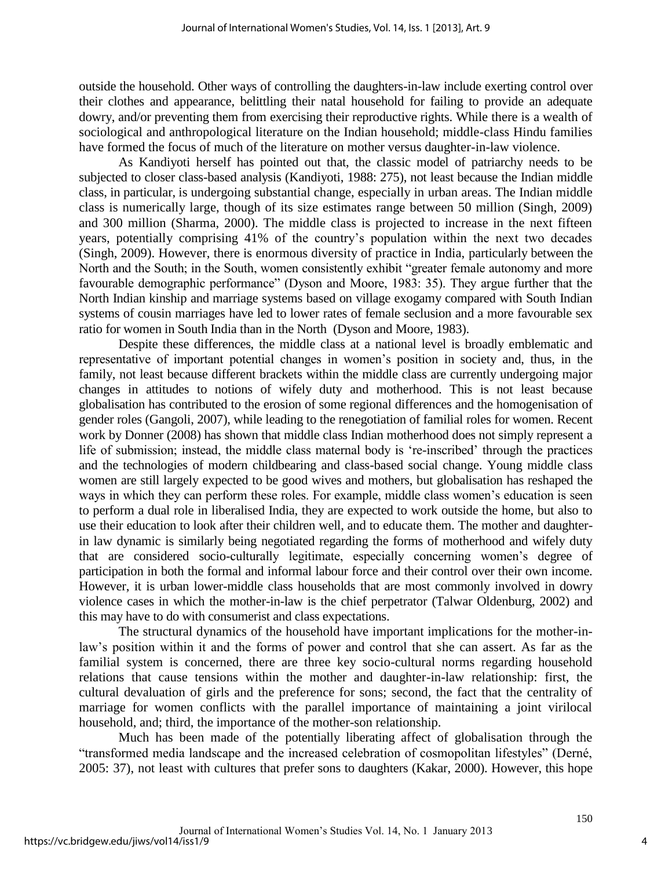outside the household. Other ways of controlling the daughters-in-law include exerting control over their clothes and appearance, belittling their natal household for failing to provide an adequate dowry, and/or preventing them from exercising their reproductive rights. While there is a wealth of sociological and anthropological literature on the Indian household; middle-class Hindu families have formed the focus of much of the literature on mother versus daughter-in-law violence.

As Kandiyoti herself has pointed out that, the classic model of patriarchy needs to be subjected to closer class-based analysis (Kandiyoti, 1988: 275), not least because the Indian middle class, in particular, is undergoing substantial change, especially in urban areas. The Indian middle class is numerically large, though of its size estimates range between 50 million (Singh, 2009) and 300 million (Sharma, 2000). The middle class is projected to increase in the next fifteen years, potentially comprising 41% of the country's population within the next two decades (Singh, 2009). However, there is enormous diversity of practice in India, particularly between the North and the South; in the South, women consistently exhibit "greater female autonomy and more favourable demographic performance" (Dyson and Moore, 1983: 35). They argue further that the North Indian kinship and marriage systems based on village exogamy compared with South Indian systems of cousin marriages have led to lower rates of female seclusion and a more favourable sex ratio for women in South India than in the North (Dyson and Moore, 1983).

Despite these differences, the middle class at a national level is broadly emblematic and representative of important potential changes in women's position in society and, thus, in the family, not least because different brackets within the middle class are currently undergoing major changes in attitudes to notions of wifely duty and motherhood. This is not least because globalisation has contributed to the erosion of some regional differences and the homogenisation of gender roles (Gangoli, 2007), while leading to the renegotiation of familial roles for women. Recent work by Donner (2008) has shown that middle class Indian motherhood does not simply represent a life of submission; instead, the middle class maternal body is 're-inscribed' through the practices and the technologies of modern childbearing and class-based social change. Young middle class women are still largely expected to be good wives and mothers, but globalisation has reshaped the ways in which they can perform these roles. For example, middle class women's education is seen to perform a dual role in liberalised India, they are expected to work outside the home, but also to use their education to look after their children well, and to educate them. The mother and daughterin law dynamic is similarly being negotiated regarding the forms of motherhood and wifely duty that are considered socio-culturally legitimate, especially concerning women's degree of participation in both the formal and informal labour force and their control over their own income. However, it is urban lower-middle class households that are most commonly involved in dowry violence cases in which the mother-in-law is the chief perpetrator (Talwar Oldenburg, 2002) and this may have to do with consumerist and class expectations.

 The structural dynamics of the household have important implications for the mother-inlaw's position within it and the forms of power and control that she can assert. As far as the familial system is concerned, there are three key socio-cultural norms regarding household relations that cause tensions within the mother and daughter-in-law relationship: first, the cultural devaluation of girls and the preference for sons; second, the fact that the centrality of marriage for women conflicts with the parallel importance of maintaining a joint virilocal household, and; third, the importance of the mother-son relationship.

 Much has been made of the potentially liberating affect of globalisation through the "transformed media landscape and the increased celebration of cosmopolitan lifestyles" (Derné, 2005: 37), not least with cultures that prefer sons to daughters (Kakar, 2000). However, this hope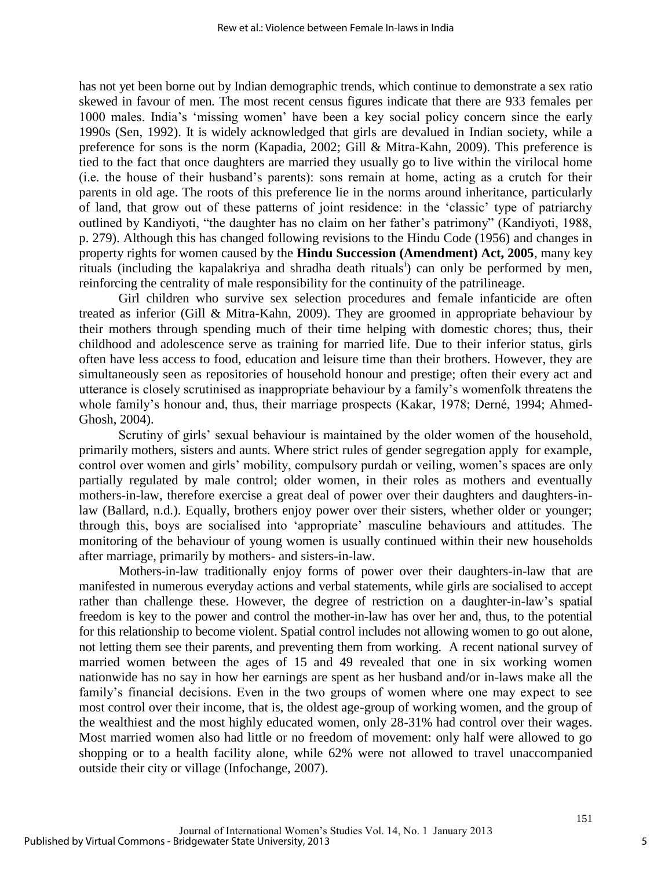has not yet been borne out by Indian demographic trends, which continue to demonstrate a sex ratio skewed in favour of men. The most recent census figures indicate that there are 933 females per 1000 males. India's 'missing women' have been a key social policy concern since the early 1990s (Sen, 1992). It is widely acknowledged that girls are devalued in Indian society, while a preference for sons is the norm (Kapadia, 2002; Gill & Mitra-Kahn, 2009). This preference is tied to the fact that once daughters are married they usually go to live within the virilocal home (i.e. the house of their husband's parents): sons remain at home, acting as a crutch for their parents in old age. The roots of this preference lie in the norms around inheritance, particularly of land, that grow out of these patterns of joint residence: in the 'classic' type of patriarchy outlined by Kandiyoti, "the daughter has no claim on her father's patrimony" (Kandiyoti, 1988, p. 279). Although this has changed following revisions to the Hindu Code (1956) and changes in property rights for women caused by the **Hindu Succession (Amendment) Act, 2005**, many key rituals (including the kapalakriya and shradha death rituals<sup>i</sup>) can only be performed by men, reinforcing the centrality of male responsibility for the continuity of the patrilineage.

Girl children who survive sex selection procedures and female infanticide are often treated as inferior (Gill & Mitra-Kahn, 2009). They are groomed in appropriate behaviour by their mothers through spending much of their time helping with domestic chores; thus, their childhood and adolescence serve as training for married life. Due to their inferior status, girls often have less access to food, education and leisure time than their brothers. However, they are simultaneously seen as repositories of household honour and prestige; often their every act and utterance is closely scrutinised as inappropriate behaviour by a family's womenfolk threatens the whole family's honour and, thus, their marriage prospects (Kakar, 1978; Derné, 1994; Ahmed-Ghosh, 2004).

Scrutiny of girls' sexual behaviour is maintained by the older women of the household, primarily mothers, sisters and aunts. Where strict rules of gender segregation apply for example, control over women and girls' mobility, compulsory purdah or veiling, women's spaces are only partially regulated by male control; older women, in their roles as mothers and eventually mothers-in-law, therefore exercise a great deal of power over their daughters and daughters-inlaw (Ballard, n.d.). Equally, brothers enjoy power over their sisters, whether older or younger; through this, boys are socialised into 'appropriate' masculine behaviours and attitudes. The monitoring of the behaviour of young women is usually continued within their new households after marriage, primarily by mothers- and sisters-in-law.

Mothers-in-law traditionally enjoy forms of power over their daughters-in-law that are manifested in numerous everyday actions and verbal statements, while girls are socialised to accept rather than challenge these. However, the degree of restriction on a daughter-in-law's spatial freedom is key to the power and control the mother-in-law has over her and, thus, to the potential for this relationship to become violent. Spatial control includes not allowing women to go out alone, not letting them see their parents, and preventing them from working. A recent national survey of married women between the ages of 15 and 49 revealed that one in six working women nationwide has no say in how her earnings are spent as her husband and/or in-laws make all the family's financial decisions. Even in the two groups of women where one may expect to see most control over their income, that is, the oldest age-group of working women, and the group of the wealthiest and the most highly educated women, only 28-31% had control over their wages. Most married women also had little or no freedom of movement: only half were allowed to go shopping or to a health facility alone, while 62% were not allowed to travel unaccompanied outside their city or village (Infochange, 2007).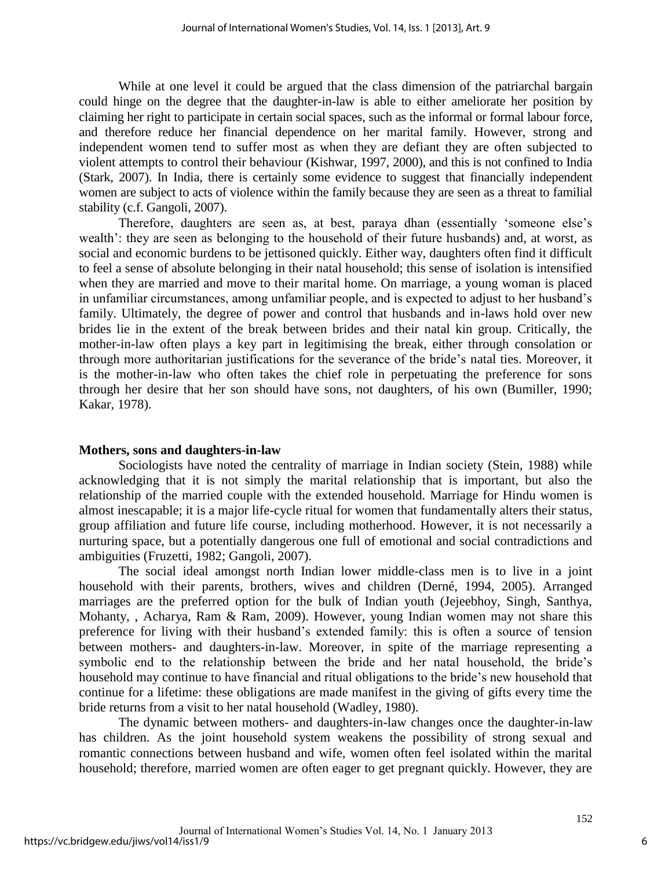While at one level it could be argued that the class dimension of the patriarchal bargain could hinge on the degree that the daughter-in-law is able to either ameliorate her position by claiming her right to participate in certain social spaces, such as the informal or formal labour force, and therefore reduce her financial dependence on her marital family. However, strong and independent women tend to suffer most as when they are defiant they are often subjected to violent attempts to control their behaviour (Kishwar, 1997, 2000), and this is not confined to India (Stark, 2007). In India, there is certainly some evidence to suggest that financially independent women are subject to acts of violence within the family because they are seen as a threat to familial stability (c.f. Gangoli, 2007).

Therefore, daughters are seen as, at best, paraya dhan (essentially 'someone else's wealth': they are seen as belonging to the household of their future husbands) and, at worst, as social and economic burdens to be jettisoned quickly. Either way, daughters often find it difficult to feel a sense of absolute belonging in their natal household; this sense of isolation is intensified when they are married and move to their marital home. On marriage, a young woman is placed in unfamiliar circumstances, among unfamiliar people, and is expected to adjust to her husband's family. Ultimately, the degree of power and control that husbands and in-laws hold over new brides lie in the extent of the break between brides and their natal kin group. Critically, the mother-in-law often plays a key part in legitimising the break, either through consolation or through more authoritarian justifications for the severance of the bride's natal ties. Moreover, it is the mother-in-law who often takes the chief role in perpetuating the preference for sons through her desire that her son should have sons, not daughters, of his own (Bumiller, 1990; Kakar, 1978).

#### **Mothers, sons and daughters-in-law**

Sociologists have noted the centrality of marriage in Indian society (Stein, 1988) while acknowledging that it is not simply the marital relationship that is important, but also the relationship of the married couple with the extended household. Marriage for Hindu women is almost inescapable; it is a major life-cycle ritual for women that fundamentally alters their status, group affiliation and future life course, including motherhood. However, it is not necessarily a nurturing space, but a potentially dangerous one full of emotional and social contradictions and ambiguities (Fruzetti, 1982; Gangoli, 2007).

 The social ideal amongst north Indian lower middle-class men is to live in a joint household with their parents, brothers, wives and children (Derné, 1994, 2005). Arranged marriages are the preferred option for the bulk of Indian youth (Jejeebhoy, Singh, Santhya, Mohanty, , Acharya, Ram & Ram, 2009). However, young Indian women may not share this preference for living with their husband's extended family: this is often a source of tension between mothers- and daughters-in-law. Moreover, in spite of the marriage representing a symbolic end to the relationship between the bride and her natal household, the bride's household may continue to have financial and ritual obligations to the bride's new household that continue for a lifetime: these obligations are made manifest in the giving of gifts every time the bride returns from a visit to her natal household (Wadley, 1980).

 The dynamic between mothers- and daughters-in-law changes once the daughter-in-law has children. As the joint household system weakens the possibility of strong sexual and romantic connections between husband and wife, women often feel isolated within the marital household; therefore, married women are often eager to get pregnant quickly. However, they are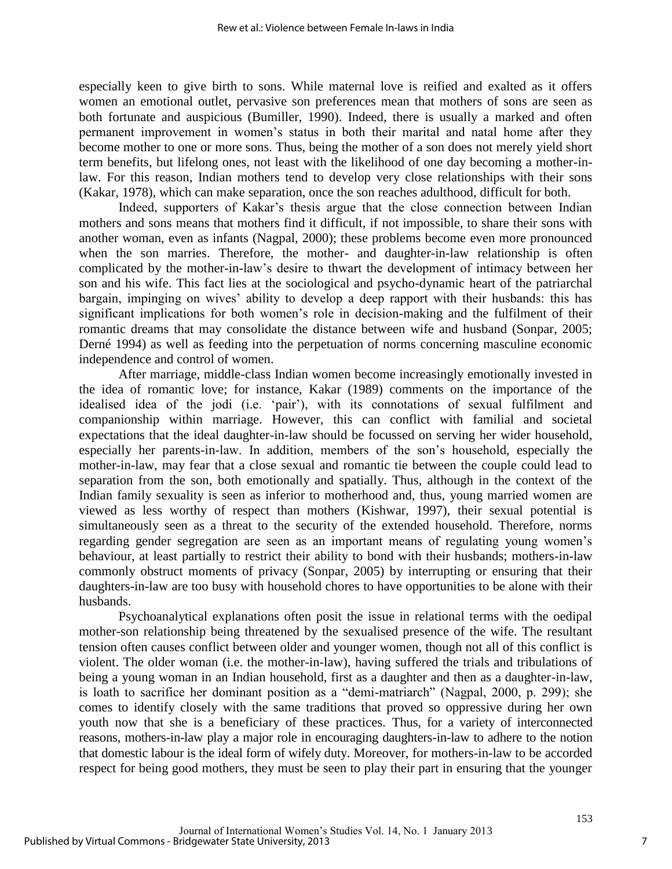especially keen to give birth to sons. While maternal love is reified and exalted as it offers women an emotional outlet, pervasive son preferences mean that mothers of sons are seen as both fortunate and auspicious (Bumiller, 1990). Indeed, there is usually a marked and often permanent improvement in women's status in both their marital and natal home after they become mother to one or more sons. Thus, being the mother of a son does not merely yield short term benefits, but lifelong ones, not least with the likelihood of one day becoming a mother-inlaw. For this reason, Indian mothers tend to develop very close relationships with their sons (Kakar, 1978), which can make separation, once the son reaches adulthood, difficult for both.

Indeed, supporters of Kakar's thesis argue that the close connection between Indian mothers and sons means that mothers find it difficult, if not impossible, to share their sons with another woman, even as infants (Nagpal, 2000); these problems become even more pronounced when the son marries. Therefore, the mother- and daughter-in-law relationship is often complicated by the mother-in-law's desire to thwart the development of intimacy between her son and his wife. This fact lies at the sociological and psycho-dynamic heart of the patriarchal bargain, impinging on wives' ability to develop a deep rapport with their husbands: this has significant implications for both women's role in decision-making and the fulfilment of their romantic dreams that may consolidate the distance between wife and husband (Sonpar, 2005; Derné 1994) as well as feeding into the perpetuation of norms concerning masculine economic independence and control of women.

 After marriage, middle-class Indian women become increasingly emotionally invested in the idea of romantic love; for instance, Kakar (1989) comments on the importance of the idealised idea of the jodi (i.e. 'pair'), with its connotations of sexual fulfilment and companionship within marriage. However, this can conflict with familial and societal expectations that the ideal daughter-in-law should be focussed on serving her wider household, especially her parents-in-law. In addition, members of the son's household, especially the mother-in-law, may fear that a close sexual and romantic tie between the couple could lead to separation from the son, both emotionally and spatially. Thus, although in the context of the Indian family sexuality is seen as inferior to motherhood and, thus, young married women are viewed as less worthy of respect than mothers (Kishwar, 1997), their sexual potential is simultaneously seen as a threat to the security of the extended household. Therefore, norms regarding gender segregation are seen as an important means of regulating young women's behaviour, at least partially to restrict their ability to bond with their husbands; mothers-in-law commonly obstruct moments of privacy (Sonpar, 2005) by interrupting or ensuring that their daughters-in-law are too busy with household chores to have opportunities to be alone with their husbands.

 Psychoanalytical explanations often posit the issue in relational terms with the oedipal mother-son relationship being threatened by the sexualised presence of the wife. The resultant tension often causes conflict between older and younger women, though not all of this conflict is violent. The older woman (i.e. the mother-in-law), having suffered the trials and tribulations of being a young woman in an Indian household, first as a daughter and then as a daughter-in-law, is loath to sacrifice her dominant position as a "demi-matriarch" (Nagpal, 2000, p. 299); she comes to identify closely with the same traditions that proved so oppressive during her own youth now that she is a beneficiary of these practices. Thus, for a variety of interconnected reasons, mothers-in-law play a major role in encouraging daughters-in-law to adhere to the notion that domestic labour is the ideal form of wifely duty. Moreover, for mothers-in-law to be accorded respect for being good mothers, they must be seen to play their part in ensuring that the younger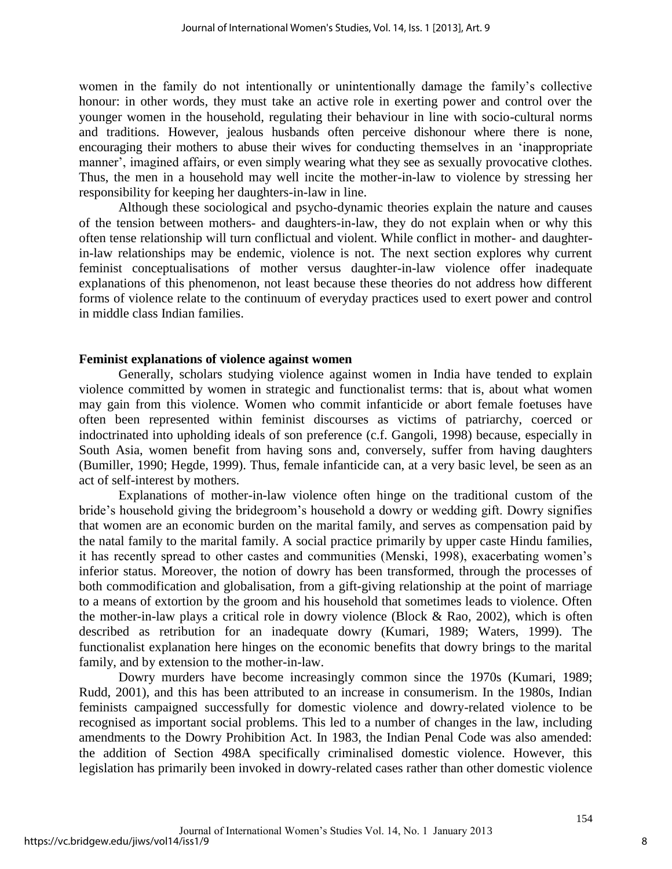women in the family do not intentionally or unintentionally damage the family's collective honour: in other words, they must take an active role in exerting power and control over the younger women in the household, regulating their behaviour in line with socio-cultural norms and traditions. However, jealous husbands often perceive dishonour where there is none, encouraging their mothers to abuse their wives for conducting themselves in an 'inappropriate manner', imagined affairs, or even simply wearing what they see as sexually provocative clothes. Thus, the men in a household may well incite the mother-in-law to violence by stressing her responsibility for keeping her daughters-in-law in line.

 Although these sociological and psycho-dynamic theories explain the nature and causes of the tension between mothers- and daughters-in-law, they do not explain when or why this often tense relationship will turn conflictual and violent. While conflict in mother- and daughterin-law relationships may be endemic, violence is not. The next section explores why current feminist conceptualisations of mother versus daughter-in-law violence offer inadequate explanations of this phenomenon, not least because these theories do not address how different forms of violence relate to the continuum of everyday practices used to exert power and control in middle class Indian families.

## **Feminist explanations of violence against women**

Generally, scholars studying violence against women in India have tended to explain violence committed by women in strategic and functionalist terms: that is, about what women may gain from this violence. Women who commit infanticide or abort female foetuses have often been represented within feminist discourses as victims of patriarchy, coerced or indoctrinated into upholding ideals of son preference (c.f. Gangoli, 1998) because, especially in South Asia, women benefit from having sons and, conversely, suffer from having daughters (Bumiller, 1990; Hegde, 1999). Thus, female infanticide can, at a very basic level, be seen as an act of self-interest by mothers.

 Explanations of mother-in-law violence often hinge on the traditional custom of the bride's household giving the bridegroom's household a dowry or wedding gift. Dowry signifies that women are an economic burden on the marital family, and serves as compensation paid by the natal family to the marital family. A social practice primarily by upper caste Hindu families, it has recently spread to other castes and communities (Menski, 1998), exacerbating women's inferior status. Moreover, the notion of dowry has been transformed, through the processes of both commodification and globalisation, from a gift-giving relationship at the point of marriage to a means of extortion by the groom and his household that sometimes leads to violence. Often the mother-in-law plays a critical role in dowry violence (Block & Rao, 2002), which is often described as retribution for an inadequate dowry (Kumari, 1989; Waters, 1999). The functionalist explanation here hinges on the economic benefits that dowry brings to the marital family, and by extension to the mother-in-law.

 Dowry murders have become increasingly common since the 1970s (Kumari, 1989; Rudd, 2001), and this has been attributed to an increase in consumerism. In the 1980s, Indian feminists campaigned successfully for domestic violence and dowry-related violence to be recognised as important social problems. This led to a number of changes in the law, including amendments to the Dowry Prohibition Act. In 1983, the Indian Penal Code was also amended: the addition of Section 498A specifically criminalised domestic violence. However, this legislation has primarily been invoked in dowry-related cases rather than other domestic violence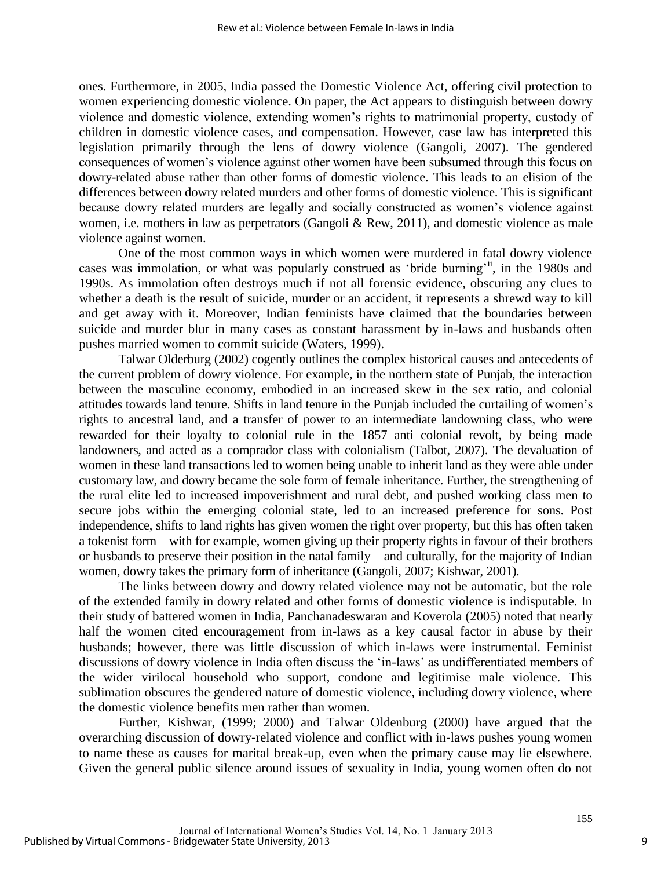ones. Furthermore, in 2005, India passed the Domestic Violence Act, offering civil protection to women experiencing domestic violence. On paper, the Act appears to distinguish between dowry violence and domestic violence, extending women's rights to matrimonial property, custody of children in domestic violence cases, and compensation. However, case law has interpreted this legislation primarily through the lens of dowry violence (Gangoli, 2007). The gendered consequences of women's violence against other women have been subsumed through this focus on dowry-related abuse rather than other forms of domestic violence. This leads to an elision of the differences between dowry related murders and other forms of domestic violence. This is significant because dowry related murders are legally and socially constructed as women's violence against women, i.e. mothers in law as perpetrators (Gangoli & Rew, 2011), and domestic violence as male violence against women.

One of the most common ways in which women were murdered in fatal dowry violence cases was immolation, or what was popularly construed as 'bride burning'<sup>ii</sup>, in the 1980s and 1990s. As immolation often destroys much if not all forensic evidence, obscuring any clues to whether a death is the result of suicide, murder or an accident, it represents a shrewd way to kill and get away with it. Moreover, Indian feminists have claimed that the boundaries between suicide and murder blur in many cases as constant harassment by in-laws and husbands often pushes married women to commit suicide (Waters, 1999).

 Talwar Olderburg (2002) cogently outlines the complex historical causes and antecedents of the current problem of dowry violence. For example, in the northern state of Punjab, the interaction between the masculine economy, embodied in an increased skew in the sex ratio, and colonial attitudes towards land tenure. Shifts in land tenure in the Punjab included the curtailing of women's rights to ancestral land, and a transfer of power to an intermediate landowning class, who were rewarded for their loyalty to colonial rule in the 1857 anti colonial revolt, by being made landowners, and acted as a comprador class with colonialism (Talbot, 2007). The devaluation of women in these land transactions led to women being unable to inherit land as they were able under customary law, and dowry became the sole form of female inheritance. Further, the strengthening of the rural elite led to increased impoverishment and rural debt, and pushed working class men to secure jobs within the emerging colonial state, led to an increased preference for sons. Post independence, shifts to land rights has given women the right over property, but this has often taken a tokenist form – with for example, women giving up their property rights in favour of their brothers or husbands to preserve their position in the natal family – and culturally, for the majority of Indian women, dowry takes the primary form of inheritance (Gangoli, 2007; Kishwar, 2001).

The links between dowry and dowry related violence may not be automatic, but the role of the extended family in dowry related and other forms of domestic violence is indisputable. In their study of battered women in India, Panchanadeswaran and Koverola (2005) noted that nearly half the women cited encouragement from in-laws as a key causal factor in abuse by their husbands; however, there was little discussion of which in-laws were instrumental. Feminist discussions of dowry violence in India often discuss the 'in-laws' as undifferentiated members of the wider virilocal household who support, condone and legitimise male violence. This sublimation obscures the gendered nature of domestic violence, including dowry violence, where the domestic violence benefits men rather than women.

Further, Kishwar, (1999; 2000) and Talwar Oldenburg (2000) have argued that the overarching discussion of dowry-related violence and conflict with in-laws pushes young women to name these as causes for marital break-up, even when the primary cause may lie elsewhere. Given the general public silence around issues of sexuality in India, young women often do not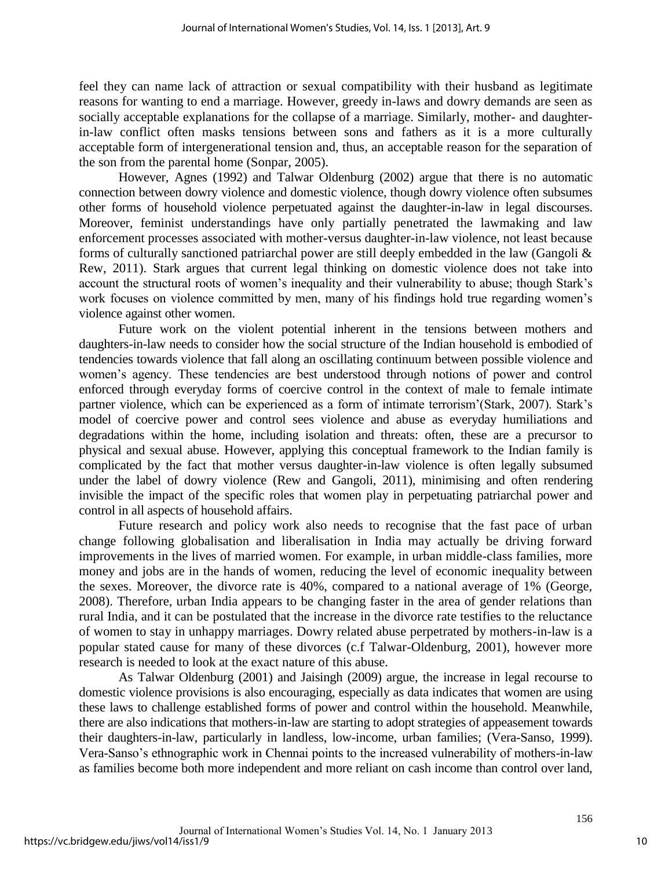feel they can name lack of attraction or sexual compatibility with their husband as legitimate reasons for wanting to end a marriage. However, greedy in-laws and dowry demands are seen as socially acceptable explanations for the collapse of a marriage. Similarly, mother- and daughterin-law conflict often masks tensions between sons and fathers as it is a more culturally acceptable form of intergenerational tension and, thus, an acceptable reason for the separation of the son from the parental home (Sonpar, 2005).

However, Agnes (1992) and Talwar Oldenburg (2002) argue that there is no automatic connection between dowry violence and domestic violence, though dowry violence often subsumes other forms of household violence perpetuated against the daughter-in-law in legal discourses. Moreover, feminist understandings have only partially penetrated the lawmaking and law enforcement processes associated with mother-versus daughter-in-law violence, not least because forms of culturally sanctioned patriarchal power are still deeply embedded in the law (Gangoli & Rew, 2011). Stark argues that current legal thinking on domestic violence does not take into account the structural roots of women's inequality and their vulnerability to abuse; though Stark's work focuses on violence committed by men, many of his findings hold true regarding women's violence against other women.

Future work on the violent potential inherent in the tensions between mothers and daughters-in-law needs to consider how the social structure of the Indian household is embodied of tendencies towards violence that fall along an oscillating continuum between possible violence and women's agency. These tendencies are best understood through notions of power and control enforced through everyday forms of coercive control in the context of male to female intimate partner violence, which can be experienced as a form of intimate terrorism'(Stark, 2007). Stark's model of coercive power and control sees violence and abuse as everyday humiliations and degradations within the home, including isolation and threats: often, these are a precursor to physical and sexual abuse. However, applying this conceptual framework to the Indian family is complicated by the fact that mother versus daughter-in-law violence is often legally subsumed under the label of dowry violence (Rew and Gangoli, 2011), minimising and often rendering invisible the impact of the specific roles that women play in perpetuating patriarchal power and control in all aspects of household affairs.

Future research and policy work also needs to recognise that the fast pace of urban change following globalisation and liberalisation in India may actually be driving forward improvements in the lives of married women. For example, in urban middle-class families, more money and jobs are in the hands of women, reducing the level of economic inequality between the sexes. Moreover, the divorce rate is 40%, compared to a national average of 1% (George, 2008). Therefore, urban India appears to be changing faster in the area of gender relations than rural India, and it can be postulated that the increase in the divorce rate testifies to the reluctance of women to stay in unhappy marriages. Dowry related abuse perpetrated by mothers-in-law is a popular stated cause for many of these divorces (c.f Talwar-Oldenburg, 2001), however more research is needed to look at the exact nature of this abuse.

As Talwar Oldenburg (2001) and Jaisingh (2009) argue, the increase in legal recourse to domestic violence provisions is also encouraging, especially as data indicates that women are using these laws to challenge established forms of power and control within the household. Meanwhile, there are also indications that mothers-in-law are starting to adopt strategies of appeasement towards their daughters-in-law, particularly in landless, low-income, urban families; (Vera-Sanso, 1999). Vera-Sanso's ethnographic work in Chennai points to the increased vulnerability of mothers-in-law as families become both more independent and more reliant on cash income than control over land,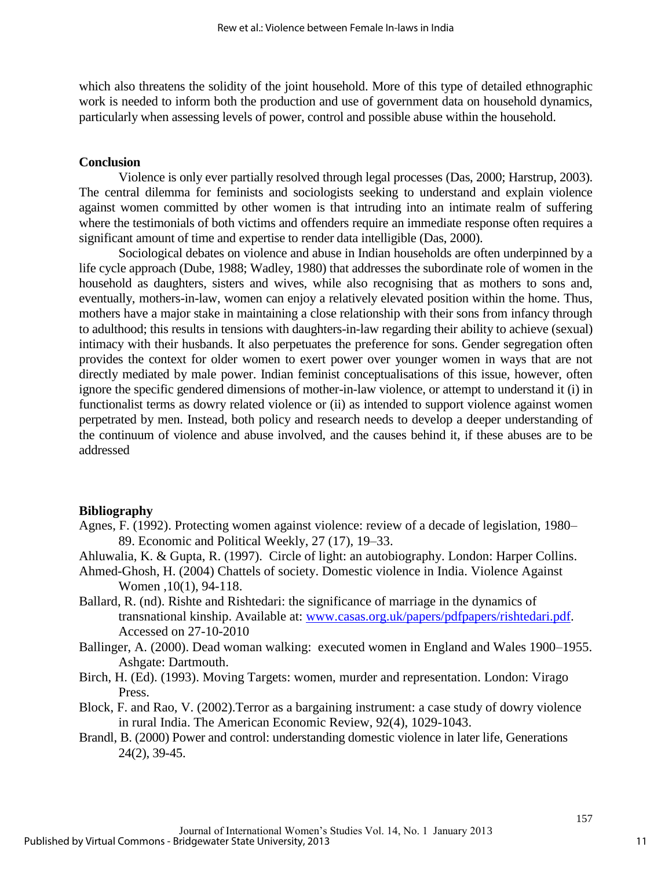which also threatens the solidity of the joint household. More of this type of detailed ethnographic work is needed to inform both the production and use of government data on household dynamics, particularly when assessing levels of power, control and possible abuse within the household.

## **Conclusion**

Violence is only ever partially resolved through legal processes (Das, 2000; Harstrup, 2003). The central dilemma for feminists and sociologists seeking to understand and explain violence against women committed by other women is that intruding into an intimate realm of suffering where the testimonials of both victims and offenders require an immediate response often requires a significant amount of time and expertise to render data intelligible (Das, 2000).

 Sociological debates on violence and abuse in Indian households are often underpinned by a life cycle approach (Dube, 1988; Wadley, 1980) that addresses the subordinate role of women in the household as daughters, sisters and wives, while also recognising that as mothers to sons and, eventually, mothers-in-law, women can enjoy a relatively elevated position within the home. Thus, mothers have a major stake in maintaining a close relationship with their sons from infancy through to adulthood; this results in tensions with daughters-in-law regarding their ability to achieve (sexual) intimacy with their husbands. It also perpetuates the preference for sons. Gender segregation often provides the context for older women to exert power over younger women in ways that are not directly mediated by male power. Indian feminist conceptualisations of this issue, however, often ignore the specific gendered dimensions of mother-in-law violence, or attempt to understand it (i) in functionalist terms as dowry related violence or (ii) as intended to support violence against women perpetrated by men. Instead, both policy and research needs to develop a deeper understanding of the continuum of violence and abuse involved, and the causes behind it, if these abuses are to be addressed

## **Bibliography**

- Agnes, F. (1992). Protecting women against violence: review of a decade of legislation, 1980– 89. Economic and Political Weekly, 27 (17), 19–33.
- Ahluwalia, K. & Gupta, R. (1997). Circle of light: an autobiography. London: Harper Collins.
- Ahmed-Ghosh, H. (2004) Chattels of society. Domestic violence in India. Violence Against Women , 10(1), 94-118.
- Ballard, R. (nd). Rishte and Rishtedari: the significance of marriage in the dynamics of transnational kinship. Available at: [www.casas.org.uk/papers/pdfpapers/rishtedari.pdf.](http://www.casas.org.uk/papers/pdfpapers/rishtedari.pdf) Accessed on 27-10-2010
- Ballinger, A. (2000). Dead woman walking: executed women in England and Wales 1900–1955. Ashgate: Dartmouth.
- Birch, H. (Ed). (1993). Moving Targets: women, murder and representation. London: Virago Press.
- Block, F. and Rao, V. (2002).Terror as a bargaining instrument: a case study of dowry violence in rural India. The American Economic Review, 92(4), 1029-1043.
- Brandl, B. (2000) Power and control: understanding domestic violence in later life, Generations 24(2), 39-45.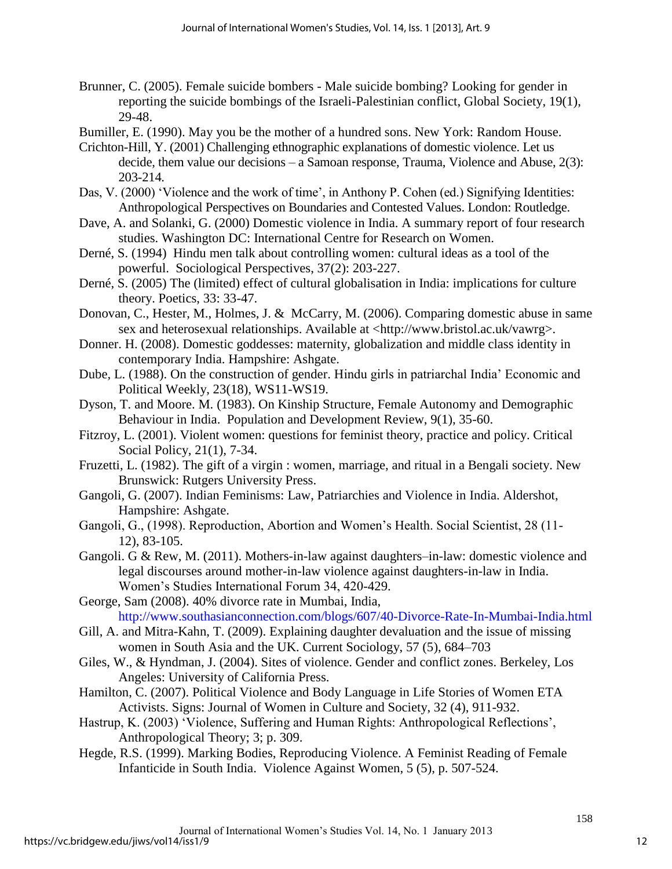- Brunner, C. (2005). Female suicide bombers Male suicide bombing? Looking for gender in reporting the suicide bombings of the Israeli-Palestinian conflict, Global Society, 19(1), 29-48.
- Bumiller, E. (1990). May you be the mother of a hundred sons. New York: Random House.
- Crichton-Hill, Y. (2001) Challenging ethnographic explanations of domestic violence. Let us decide, them value our decisions – a Samoan response, Trauma, Violence and Abuse, 2(3): 203-214.
- Das, V. (2000) 'Violence and the work of time', in Anthony P. Cohen (ed.) Signifying Identities: Anthropological Perspectives on Boundaries and Contested Values. London: Routledge.
- Dave, A. and Solanki, G. (2000) Domestic violence in India. A summary report of four research studies. Washington DC: International Centre for Research on Women.
- Derné, S. (1994) Hindu men talk about controlling women: cultural ideas as a tool of the powerful. Sociological Perspectives, 37(2): 203-227.
- Derné, S. (2005) The (limited) effect of cultural globalisation in India: implications for culture theory. Poetics, 33: 33-47.
- Donovan, C., Hester, M., Holmes, J. & McCarry, M. (2006). Comparing domestic abuse in same sex and heterosexual relationships. Available at [<http://www.bristol.ac.uk/vawrg>](http://www.bristol.ac.uk/vawrg).
- Donner. H. (2008). Domestic goddesses: maternity, globalization and middle class identity in contemporary India. Hampshire: Ashgate.
- Dube, L. (1988). On the construction of gender. Hindu girls in patriarchal India' Economic and Political Weekly, 23(18), WS11-WS19.
- Dyson, T. and Moore. M. (1983). On Kinship Structure, Female Autonomy and Demographic Behaviour in India. Population and Development Review, 9(1), 35-60.
- Fitzroy, L. (2001). Violent women: questions for feminist theory, practice and policy. Critical Social Policy, 21(1), 7-34.
- Fruzetti, L. (1982). The gift of a virgin : women, marriage, and ritual in a Bengali society. New Brunswick: Rutgers University Press.
- Gangoli, G. (2007). Indian Feminisms: Law, Patriarchies and Violence in India. Aldershot, Hampshire: Ashgate.
- Gangoli, G., (1998). Reproduction, Abortion and Women's Health. Social Scientist, 28 (11- 12), 83-105.
- Gangoli. G & Rew, M. (2011). Mothers-in-law against daughters–in-law: domestic violence and legal discourses around mother-in-law violence against daughters-in-law in India. Women's Studies International Forum 34, 420-429.
- George, Sam (2008). 40% divorce rate in Mumbai, India, http://www.southasianconnection.com/blogs/607/40-Divorce-Rate-In-Mumbai-India.html
- Gill, A. and Mitra-Kahn, T. (2009). Explaining daughter devaluation and the issue of missing women in South Asia and the UK. Current Sociology, 57 (5), 684–703
- Giles, W., & Hyndman, J. (2004). Sites of violence. Gender and conflict zones. Berkeley, Los Angeles: University of California Press.
- Hamilton, C. (2007). Political Violence and Body Language in Life Stories of Women ETA Activists. Signs: Journal of Women in Culture and Society, 32 (4), 911-932.
- Hastrup, K. (2003) 'Violence, Suffering and Human Rights: Anthropological Reflections', Anthropological Theory; 3; p. 309.
- Hegde, R.S. (1999). Marking Bodies, Reproducing Violence. A Feminist Reading of Female Infanticide in South India. Violence Against Women, 5 (5), p. 507-524.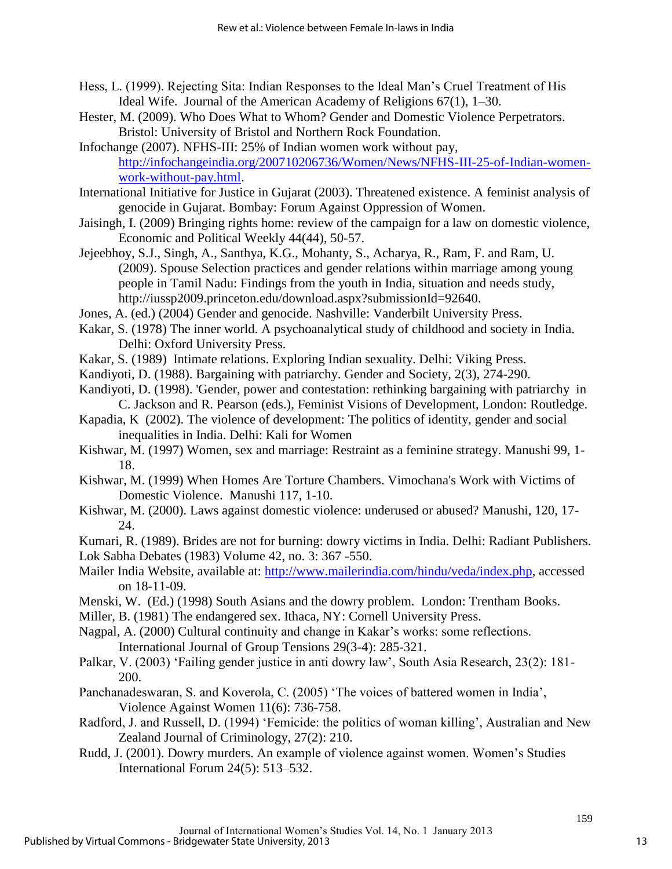- Hess, L. (1999). Rejecting Sita: Indian Responses to the Ideal Man's Cruel Treatment of His Ideal Wife. Journal of the American Academy of Religions 67(1), 1–30.
- Hester, M. (2009). Who Does What to Whom? Gender and Domestic Violence Perpetrators. Bristol: University of Bristol and Northern Rock Foundation.
- Infochange (2007). NFHS-III: 25% of Indian women work without pay, [http://infochangeindia.org/200710206736/Women/News/NFHS-III-25-of-Indian-women](http://infochangeindia.org/200710206736/Women/News/NFHS-III-25-of-Indian-women-work-without-pay.html)[work-without-pay.html.](http://infochangeindia.org/200710206736/Women/News/NFHS-III-25-of-Indian-women-work-without-pay.html)
- International Initiative for Justice in Gujarat (2003). Threatened existence. A feminist analysis of genocide in Gujarat. Bombay: Forum Against Oppression of Women.
- Jaisingh, I. (2009) Bringing rights home: review of the campaign for a law on domestic violence, Economic and Political Weekly 44(44), 50-57.
- Jejeebhoy, S.J., Singh, A., Santhya, K.G., Mohanty, S., Acharya, R., Ram, F. and Ram, U. (2009). Spouse Selection practices and gender relations within marriage among young people in Tamil Nadu: Findings from the youth in India, situation and needs study, http://iussp2009.princeton.edu/download.aspx?submissionId=92640.
- Jones, A. (ed.) (2004) Gender and genocide. Nashville: Vanderbilt University Press.
- Kakar, S. (1978) The inner world. A psychoanalytical study of childhood and society in India. Delhi: Oxford University Press.
- Kakar, S. (1989) Intimate relations. Exploring Indian sexuality. Delhi: Viking Press.
- Kandiyoti, D. (1988). Bargaining with patriarchy. Gender and Society, 2(3), 274-290.
- Kandiyoti, D. (1998). 'Gender, power and contestation: rethinking bargaining with patriarchy in C. Jackson and R. Pearson (eds.), Feminist Visions of Development, London: Routledge.
- Kapadia, K (2002). The violence of development: The politics of identity, gender and social inequalities in India. Delhi: Kali for Women
- Kishwar, M. (1997) Women, sex and marriage: Restraint as a feminine strategy. Manushi 99, 1- 18.
- Kishwar, M. (1999) When Homes Are Torture Chambers. Vimochana's Work with Victims of Domestic Violence. Manushi 117, 1-10.
- Kishwar, M. (2000). Laws against domestic violence: underused or abused? Manushi, 120, 17- 24.
- Kumari, R. (1989). Brides are not for burning: dowry victims in India. Delhi: Radiant Publishers. Lok Sabha Debates (1983) Volume 42, no. 3: 367 -550.
- Mailer India Website, available at: [http://www.mailerindia.com/hindu/veda/index.php,](http://www.mailerindia.com/hindu/veda/index.php) accessed on 18-11-09.
- Menski, W. (Ed.) (1998) South Asians and the dowry problem. London: Trentham Books.
- Miller, B. (1981) The endangered sex. Ithaca, NY: Cornell University Press.
- Nagpal, A. (2000) Cultural continuity and change in Kakar's works: some reflections. International Journal of Group Tensions 29(3-4): 285-321.
- Palkar, V. (2003) 'Failing gender justice in anti dowry law', South Asia Research, 23(2): 181- 200.
- Panchanadeswaran, S. and Koverola, C. (2005) 'The voices of battered women in India', Violence Against Women 11(6): 736-758.
- Radford, J. and Russell, D. (1994) 'Femicide: the politics of woman killing', Australian and New Zealand Journal of Criminology, 27(2): 210.
- Rudd, J. (2001). Dowry murders. An example of violence against women. Women's Studies International Forum 24(5): 513–532.